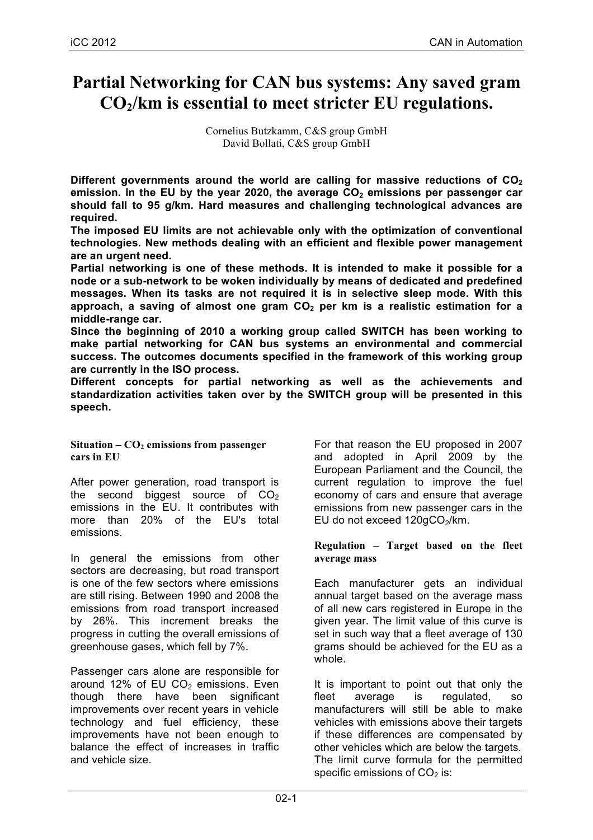# **Partial Networking for CAN bus systems: Any saved gram CO2/km is essential to meet stricter EU regulations.**

Cornelius Butzkamm, C&S group GmbH David Bollati, C&S group GmbH

Different governments around the world are calling for massive reductions of CO<sub>2</sub> emission. In the EU by the year 2020, the average CO<sub>2</sub> emissions per passenger car **should fall to 95 g/km. Hard measures and challenging technological advances are required.** 

**The imposed EU limits are not achievable only with the optimization of conventional technologies. New methods dealing with an efficient and flexible power management are an urgent need.** 

**Partial networking is one of these methods. It is intended to make it possible for a node or a sub-network to be woken individually by means of dedicated and predefined messages. When its tasks are not required it is in selective sleep mode. With this**  approach, a saving of almost one gram CO<sub>2</sub> per km is a realistic estimation for a **middle-range car.** 

**Since the beginning of 2010 a working group called SWITCH has been working to make partial networking for CAN bus systems an environmental and commercial success. The outcomes documents specified in the framework of this working group are currently in the ISO process.** 

**Different concepts for partial networking as well as the achievements and standardization activities taken over by the SWITCH group will be presented in this speech.**

Situation –  $CO<sub>2</sub>$  emissions from passenger **cars in EU**

After power generation, road transport is the second biggest source of  $CO<sub>2</sub>$ emissions in the EU. It contributes with more than 20% of the EU's total emissions.

In general the emissions from other sectors are decreasing, but road transport is one of the few sectors where emissions are still rising. Between 1990 and 2008 the emissions from road transport increased by 26%. This increment breaks the progress in cutting the overall emissions of greenhouse gases, which fell by 7%.

Passenger cars alone are responsible for around 12% of EU  $CO<sub>2</sub>$  emissions. Even though there have been significant improvements over recent years in vehicle technology and fuel efficiency, these improvements have not been enough to balance the effect of increases in traffic and vehicle size.

For that reason the EU proposed in 2007 and adopted in April 2009 by the European Parliament and the Council, the current regulation to improve the fuel economy of cars and ensure that average emissions from new passenger cars in the EU do not exceed  $120qCO<sub>2</sub>/km$ .

**Regulation – Target based on the fleet average mass**

Each manufacturer gets an individual annual target based on the average mass of all new cars registered in Europe in the given year. The limit value of this curve is set in such way that a fleet average of 130 grams should be achieved for the EU as a whole.

It is important to point out that only the fleet average is regulated, so manufacturers will still be able to make vehicles with emissions above their targets if these differences are compensated by other vehicles which are below the targets. The limit curve formula for the permitted specific emissions of  $CO<sub>2</sub>$  is: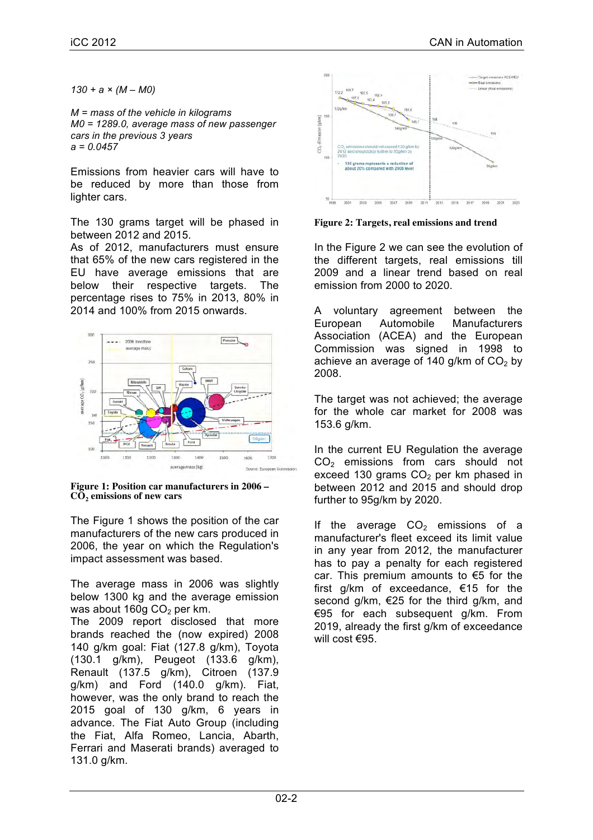*130 + a × (M – M0)*

*M = mass of the vehicle in kilograms M0 = 1289.0, average mass of new passenger cars in the previous 3 years a = 0.0457*

Emissions from heavier cars will have to be reduced by more than those from lighter cars.

The 130 grams target will be phased in between 2012 and 2015.

As of 2012, manufacturers must ensure that 65% of the new cars registered in the EU have average emissions that are below their respective targets. The percentage rises to 75% in 2013, 80% in 2014 and 100% from 2015 onwards.



**Figure 1: Position car manufacturers in 2006 – CO2 emissions of new cars**

The Figure 1 shows the position of the car manufacturers of the new cars produced in 2006, the year on which the Regulation's impact assessment was based.

The average mass in 2006 was slightly below 1300 kg and the average emission was about 160g  $CO<sub>2</sub>$  per km. The 2009 report disclosed that more brands reached the (now expired) 2008 140 g/km goal: Fiat (127.8 g/km), Toyota (130.1 g/km), Peugeot (133.6 g/km), Renault (137.5 g/km), Citroen (137.9 g/km) and Ford (140.0 g/km). Fiat, however, was the only brand to reach the 2015 goal of 130 g/km, 6 years in advance. The Fiat Auto Group (including the Fiat, Alfa Romeo, Lancia, Abarth, Ferrari and Maserati brands) averaged to 131.0 g/km.



**Figure 2: Targets, real emissions and trend**

In the Figure 2 we can see the evolution of the different targets, real emissions till 2009 and a linear trend based on real emission from 2000 to 2020.

A voluntary agreement between the European Automobile Manufacturers Association (ACEA) and the European Commission was signed in 1998 to achieve an average of 140 g/km of  $CO<sub>2</sub>$  by 2008.

The target was not achieved; the average for the whole car market for 2008 was 153.6 g/km.

In the current EU Regulation the average  $CO<sub>2</sub>$  emissions from cars should not exceed 130 grams  $CO<sub>2</sub>$  per km phased in between 2012 and 2015 and should drop further to 95g/km by 2020.

If the average  $CO<sub>2</sub>$  emissions of a manufacturer's fleet exceed its limit value in any year from 2012, the manufacturer has to pay a penalty for each registered car. This premium amounts to €5 for the first g/km of exceedance, €15 for the second g/km, €25 for the third g/km, and €95 for each subsequent g/km. From 2019, already the first g/km of exceedance will cost €95.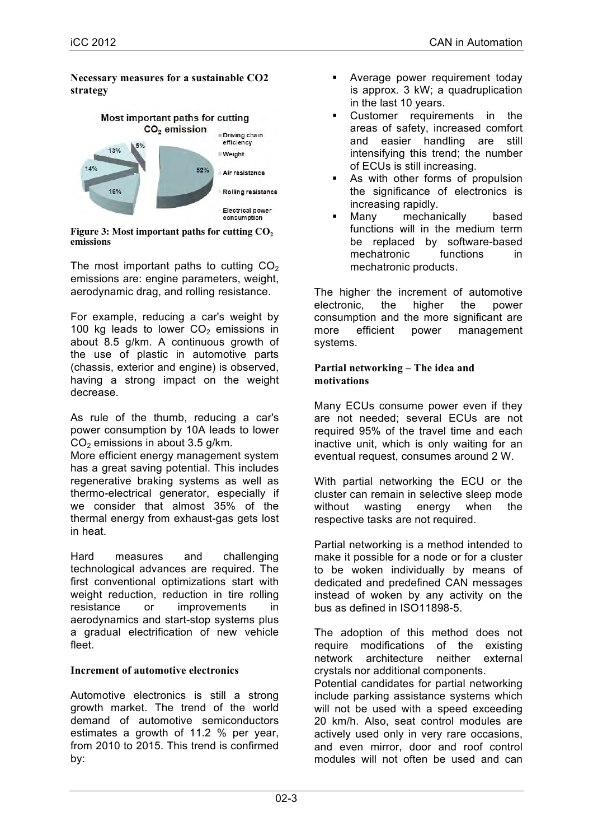#### **Necessary measures for a sustainable CO2 strategy**



Figure 3: Most important paths for cutting CO<sub>2</sub> **emissions**

The most important paths to cutting  $CO<sub>2</sub>$ emissions are: engine parameters, weight, aerodynamic drag, and rolling resistance.

For example, reducing a car's weight by 100 kg leads to lower  $CO<sub>2</sub>$  emissions in about 8.5 g/km. A continuous growth of the use of plastic in automotive parts (chassis, exterior and engine) is observed, having a strong impact on the weight decrease.

As rule of the thumb, reducing a car's power consumption by 10A leads to lower  $CO<sub>2</sub>$  emissions in about 3.5 g/km.

More efficient energy management system has a great saving potential. This includes regenerative braking systems as well as thermo-electrical generator, especially if we consider that almost 35% of the thermal energy from exhaust-gas gets lost in heat.

Hard measures and challenging technological advances are required. The first conventional optimizations start with weight reduction, reduction in tire rolling resistance or improvements in aerodynamics and start-stop systems plus a gradual electrification of new vehicle fleet.

## **Increment of automotive electronics**

Automotive electronics is still a strong growth market. The trend of the world demand of automotive semiconductors estimates a growth of 11.2 % per year, from 2010 to 2015. This trend is confirmed by:

- § Average power requirement today is approx. 3 kW; a quadruplication in the last 10 years.
- Customer requirements in the areas of safety, increased comfort and easier handling are still intensifying this trend; the number of ECUs is still increasing.
- As with other forms of propulsion the significance of electronics is increasing rapidly.
- Many mechanically based functions will in the medium term be replaced by software-based mechatronic functions in mechatronic products.

The higher the increment of automotive electronic, the higher the power consumption and the more significant are more efficient power management systems.

#### **Partial networking – The idea and motivations**

Many ECUs consume power even if they are not needed; several ECUs are not required 95% of the travel time and each inactive unit, which is only waiting for an eventual request, consumes around 2 W.

With partial networking the ECU or the cluster can remain in selective sleep mode without wasting energy when the respective tasks are not required.

Partial networking is a method intended to make it possible for a node or for a cluster to be woken individually by means of dedicated and predefined CAN messages instead of woken by any activity on the bus as defined in ISO11898-5.

The adoption of this method does not require modifications of the existing network architecture neither external crystals nor additional components.

Potential candidates for partial networking include parking assistance systems which will not be used with a speed exceeding 20 km/h. Also, seat control modules are actively used only in very rare occasions, and even mirror, door and roof control modules will not often be used and can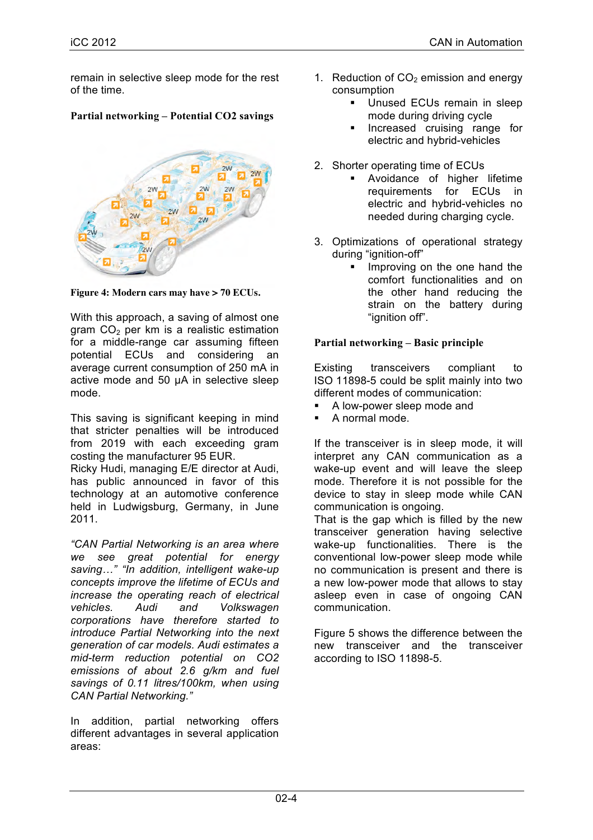remain in selective sleep mode for the rest of the time.

## **Partial networking – Potential CO2 savings**



**Figure 4: Modern cars may have > 70 ECUs.**

With this approach, a saving of almost one gram  $CO<sub>2</sub>$  per km is a realistic estimation for a middle-range car assuming fifteen potential ECUs and considering an average current consumption of 250 mA in active mode and 50 µA in selective sleep mode.

This saving is significant keeping in mind that stricter penalties will be introduced from 2019 with each exceeding gram costing the manufacturer 95 EUR.

Ricky Hudi, managing E/E director at Audi, has public announced in favor of this technology at an automotive conference held in Ludwigsburg, Germany, in June 2011.

*"CAN Partial Networking is an area where we see great potential for energy saving…" "In addition, intelligent wake-up concepts improve the lifetime of ECUs and increase the operating reach of electrical vehicles. Audi and Volkswagen corporations have therefore started to introduce Partial Networking into the next generation of car models. Audi estimates a mid-term reduction potential on CO2 emissions of about 2.6 g/km and fuel savings of 0.11 litres/100km, when using CAN Partial Networking."*

In addition, partial networking offers different advantages in several application areas:

- 1. Reduction of  $CO<sub>2</sub>$  emission and energy consumption
	- § Unused ECUs remain in sleep mode during driving cycle
	- **•** Increased cruising range for electric and hybrid-vehicles
- 2. Shorter operating time of ECUs
	- § Avoidance of higher lifetime requirements for ECUs in electric and hybrid-vehicles no needed during charging cycle.
- 3. Optimizations of operational strategy during "ignition-off"
	- Improving on the one hand the comfort functionalities and on the other hand reducing the strain on the battery during "ignition off".

### **Partial networking – Basic principle**

Existing transceivers compliant to ISO 11898-5 could be split mainly into two different modes of communication:

- A low-power sleep mode and
- § A normal mode.

If the transceiver is in sleep mode, it will interpret any CAN communication as a wake-up event and will leave the sleep mode. Therefore it is not possible for the device to stay in sleep mode while CAN communication is ongoing.

That is the gap which is filled by the new transceiver generation having selective wake-up functionalities. There is the conventional low-power sleep mode while no communication is present and there is a new low-power mode that allows to stay asleep even in case of ongoing CAN communication.

Figure 5 shows the difference between the new transceiver and the transceiver according to ISO 11898-5.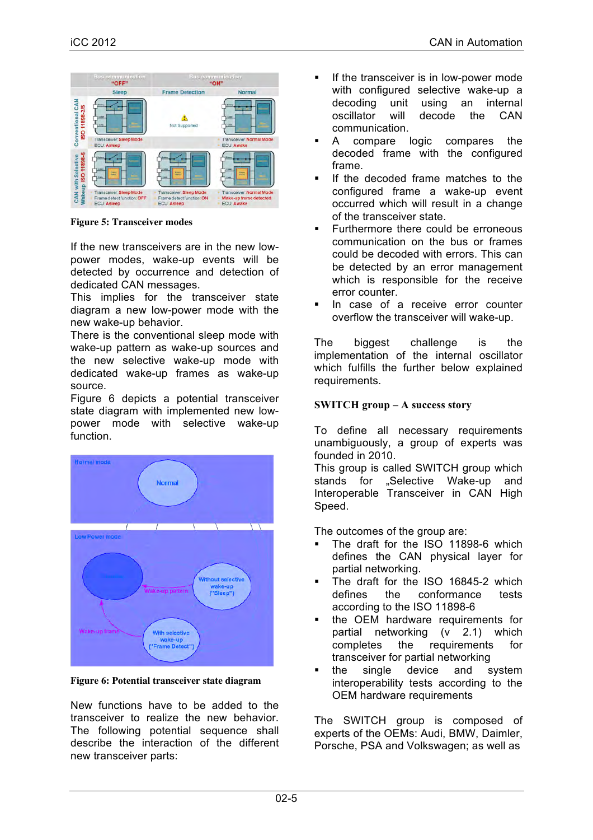

**Figure 5: Transceiver modes**

If the new transceivers are in the new lowpower modes, wake-up events will be detected by occurrence and detection of dedicated CAN messages.

This implies for the transceiver state diagram a new low-power mode with the new wake-up behavior.

There is the conventional sleep mode with wake-up pattern as wake-up sources and the new selective wake-up mode with dedicated wake-up frames as wake-up source.

Figure 6 depicts a potential transceiver state diagram with implemented new lowpower mode with selective wake-up function.



**Figure 6: Potential transceiver state diagram**

New functions have to be added to the transceiver to realize the new behavior. The following potential sequence shall describe the interaction of the different new transceiver parts:

- **•** If the transceiver is in low-power mode with configured selective wake-up a decoding unit using an internal oscillator will decode the CAN communication.
- A compare logic compares the decoded frame with the configured frame.
- If the decoded frame matches to the configured frame a wake-up event occurred which will result in a change of the transceiver state.
- **•** Furthermore there could be erroneous communication on the bus or frames could be decoded with errors. This can be detected by an error management which is responsible for the receive error counter.
- In case of a receive error counter overflow the transceiver will wake-up.

The biggest challenge is the implementation of the internal oscillator which fulfills the further below explained requirements.

### **SWITCH group – A success story**

To define all necessary requirements unambiguously, a group of experts was founded in 2010.

This group is called SWITCH group which stands for "Selective Wake-up and Interoperable Transceiver in CAN High Speed.

The outcomes of the group are:

- § The draft for the ISO 11898-6 which defines the CAN physical layer for partial networking.
- The draft for the ISO 16845-2 which defines the conformance tests according to the ISO 11898-6
- the OEM hardware requirements for partial networking (v 2.1) which completes the requirements for transceiver for partial networking
- the single device and system interoperability tests according to the OEM hardware requirements

The SWITCH group is composed of experts of the OEMs: Audi, BMW, Daimler, Porsche, PSA and Volkswagen; as well as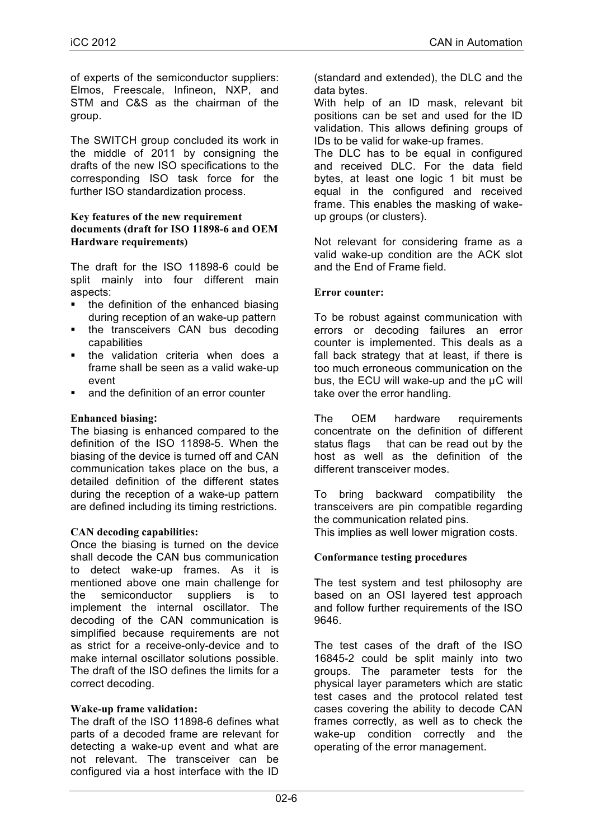of experts of the semiconductor suppliers: Elmos, Freescale, Infineon, NXP, and STM and C&S as the chairman of the group.

The SWITCH group concluded its work in the middle of 2011 by consigning the drafts of the new ISO specifications to the corresponding ISO task force for the further ISO standardization process.

#### **Key features of the new requirement documents (draft for ISO 11898-6 and OEM Hardware requirements)**

The draft for the ISO 11898-6 could be split mainly into four different main aspects:

- the definition of the enhanced biasing during reception of an wake-up pattern
- the transceivers CAN bus decoding capabilities
- the validation criteria when does a frame shall be seen as a valid wake-up event
- and the definition of an error counter

#### **Enhanced biasing:**

The biasing is enhanced compared to the definition of the ISO 11898-5. When the biasing of the device is turned off and CAN communication takes place on the bus, a detailed definition of the different states during the reception of a wake-up pattern are defined including its timing restrictions.

#### **CAN decoding capabilities:**

Once the biasing is turned on the device shall decode the CAN bus communication to detect wake-up frames. As it is mentioned above one main challenge for the semiconductor suppliers is to implement the internal oscillator. The decoding of the CAN communication is simplified because requirements are not as strict for a receive-only-device and to make internal oscillator solutions possible. The draft of the ISO defines the limits for a correct decoding.

#### **Wake-up frame validation:**

The draft of the ISO 11898-6 defines what parts of a decoded frame are relevant for detecting a wake-up event and what are not relevant. The transceiver can be configured via a host interface with the ID

(standard and extended), the DLC and the data bytes.

With help of an ID mask, relevant bit positions can be set and used for the ID validation. This allows defining groups of IDs to be valid for wake-up frames.

The DLC has to be equal in configured and received DLC. For the data field bytes, at least one logic 1 bit must be equal in the configured and received frame. This enables the masking of wakeup groups (or clusters).

Not relevant for considering frame as a valid wake-up condition are the ACK slot and the End of Frame field.

#### **Error counter:**

To be robust against communication with errors or decoding failures an error counter is implemented. This deals as a fall back strategy that at least, if there is too much erroneous communication on the bus, the ECU will wake-up and the µC will take over the error handling.

The OEM hardware requirements concentrate on the definition of different status flags that can be read out by the host as well as the definition of the different transceiver modes.

To bring backward compatibility the transceivers are pin compatible regarding the communication related pins. This implies as well lower migration costs.

## **Conformance testing procedures**

The test system and test philosophy are based on an OSI layered test approach and follow further requirements of the ISO 9646.

The test cases of the draft of the ISO 16845-2 could be split mainly into two groups. The parameter tests for the physical layer parameters which are static test cases and the protocol related test cases covering the ability to decode CAN frames correctly, as well as to check the wake-up condition correctly and the operating of the error management.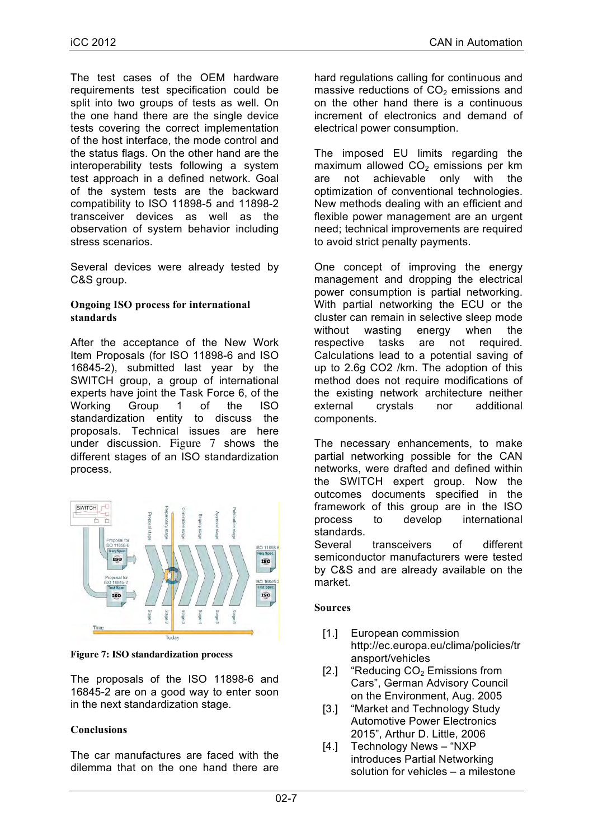The test cases of the OEM hardware requirements test specification could be split into two groups of tests as well. On the one hand there are the single device tests covering the correct implementation of the host interface, the mode control and the status flags. On the other hand are the interoperability tests following a system test approach in a defined network. Goal of the system tests are the backward compatibility to ISO 11898-5 and 11898-2 transceiver devices as well as the observation of system behavior including stress scenarios.

Several devices were already tested by C&S group.

#### **Ongoing ISO process for international standards**

After the acceptance of the New Work Item Proposals (for ISO 11898-6 and ISO 16845-2), submitted last year by the SWITCH group, a group of international experts have joint the Task Force 6, of the Working Group 1 of the ISO standardization entity to discuss the proposals. Technical issues are here under discussion. Figure 7 shows the different stages of an ISO standardization process.



**Figure 7: ISO standardization process**

The proposals of the ISO 11898-6 and 16845-2 are on a good way to enter soon in the next standardization stage.

## **Conclusions**

The car manufactures are faced with the dilemma that on the one hand there are hard regulations calling for continuous and massive reductions of  $CO<sub>2</sub>$  emissions and on the other hand there is a continuous increment of electronics and demand of electrical power consumption.

The imposed EU limits regarding the maximum allowed  $CO<sub>2</sub>$  emissions per km are not achievable only with the optimization of conventional technologies. New methods dealing with an efficient and flexible power management are an urgent need; technical improvements are required to avoid strict penalty payments.

One concept of improving the energy management and dropping the electrical power consumption is partial networking. With partial networking the ECU or the cluster can remain in selective sleep mode without wasting energy when the respective tasks are not required. Calculations lead to a potential saving of up to 2.6g CO2 /km. The adoption of this method does not require modifications of the existing network architecture neither external crystals nor additional components.

The necessary enhancements, to make partial networking possible for the CAN networks, were drafted and defined within the SWITCH expert group. Now the outcomes documents specified in the framework of this group are in the ISO process to develop international standards.

Several transceivers of different semiconductor manufacturers were tested by C&S and are already available on the market.

#### **Sources**

- [1.] European commission http://ec.europa.eu/clima/policies/tr ansport/vehicles
- [2.] "Reducing  $CO<sub>2</sub>$  Emissions from Cars", German Advisory Council on the Environment, Aug. 2005
- [3.] "Market and Technology Study Automotive Power Electronics 2015", Arthur D. Little, 2006
- [4.] Technology News "NXP introduces Partial Networking solution for vehicles – a milestone